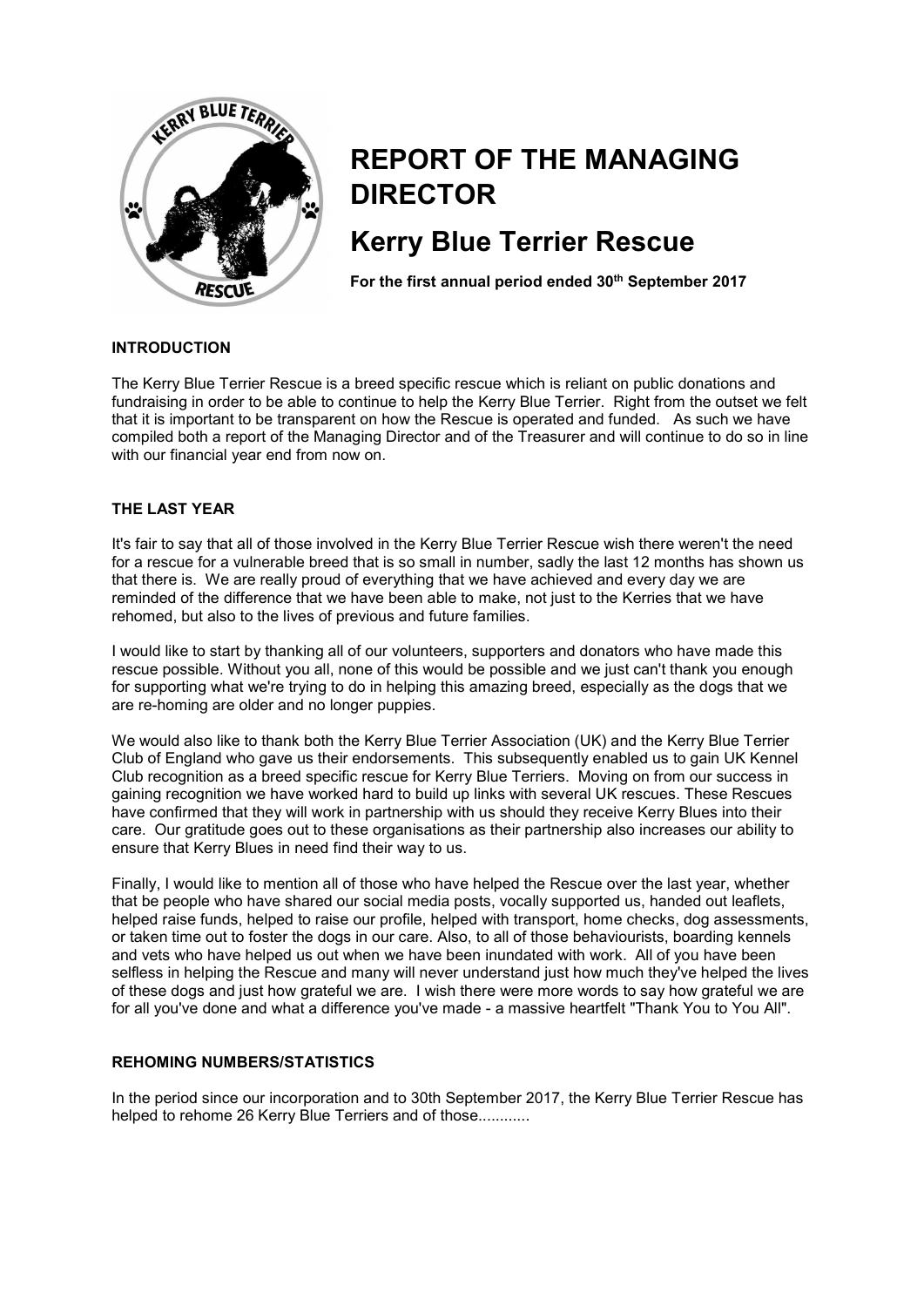

# **REPORT OF THE MANAGING DIRECTOR**

# **Kerry Blue Terrier Rescue**

For the first annual period ended 30<sup>th</sup> September 2017

# **INTRODUCTION**

The Kerry Blue Terrier Rescue is a breed specific rescue which is reliant on public donations and fundraising in order to be able to continue to help the Kerry Blue Terrier. Right from the outset we felt that it is important to be transparent on how the Rescue is operated and funded. As such we have compiled both a report of the Managing Director and of the Treasurer and will continue to do so in line with our financial year end from now on.

### **THE LAST YEAR**

It's fair to say that all of those involved in the Kerry Blue Terrier Rescue wish there weren't the need for a rescue for a vulnerable breed that is so small in number, sadly the last 12 months has shown us that there is. We are really proud of everything that we have achieved and every day we are reminded of the difference that we have been able to make, not just to the Kerries that we have rehomed, but also to the lives of previous and future families.

I would like to start by thanking all of our volunteers, supporters and donators who have made this rescue possible. Without you all, none of this would be possible and we just can't thank you enough for supporting what we're trying to do in helping this amazing breed, especially as the dogs that we are re-homing are older and no longer puppies.

We would also like to thank both the Kerry Blue Terrier Association (UK) and the Kerry Blue Terrier Club of England who gave us their endorsements. This subsequently enabled us to gain UK Kennel Club recognition as a breed specific rescue for Kerry Blue Terriers. Moving on from our success in gaining recognition we have worked hard to build up links with several UK rescues. These Rescues have confirmed that they will work in partnership with us should they receive Kerry Blues into their care. Our gratitude goes out to these organisations as their partnership also increases our ability to ensure that Kerry Blues in need find their way to us.

Finally, I would like to mention all of those who have helped the Rescue over the last year, whether that be people who have shared our social media posts, vocally supported us, handed out leaflets, helped raise funds, helped to raise our profile, helped with transport, home checks, dog assessments, or taken time out to foster the dogs in our care. Also, to all of those behaviourists, boarding kennels and vets who have helped us out when we have been inundated with work. All of you have been selfless in helping the Rescue and many will never understand just how much they've helped the lives of these dogs and just how grateful we are. I wish there were more words to say how grateful we are for all you've done and what a difference you've made - a massive heartfelt "Thank You to You All".

# **REHOMING NUMBERS/STATISTICS**

In the period since our incorporation and to 30th September 2017, the Kerry Blue Terrier Rescue has helped to rehome 26 Kerry Blue Terriers and of those............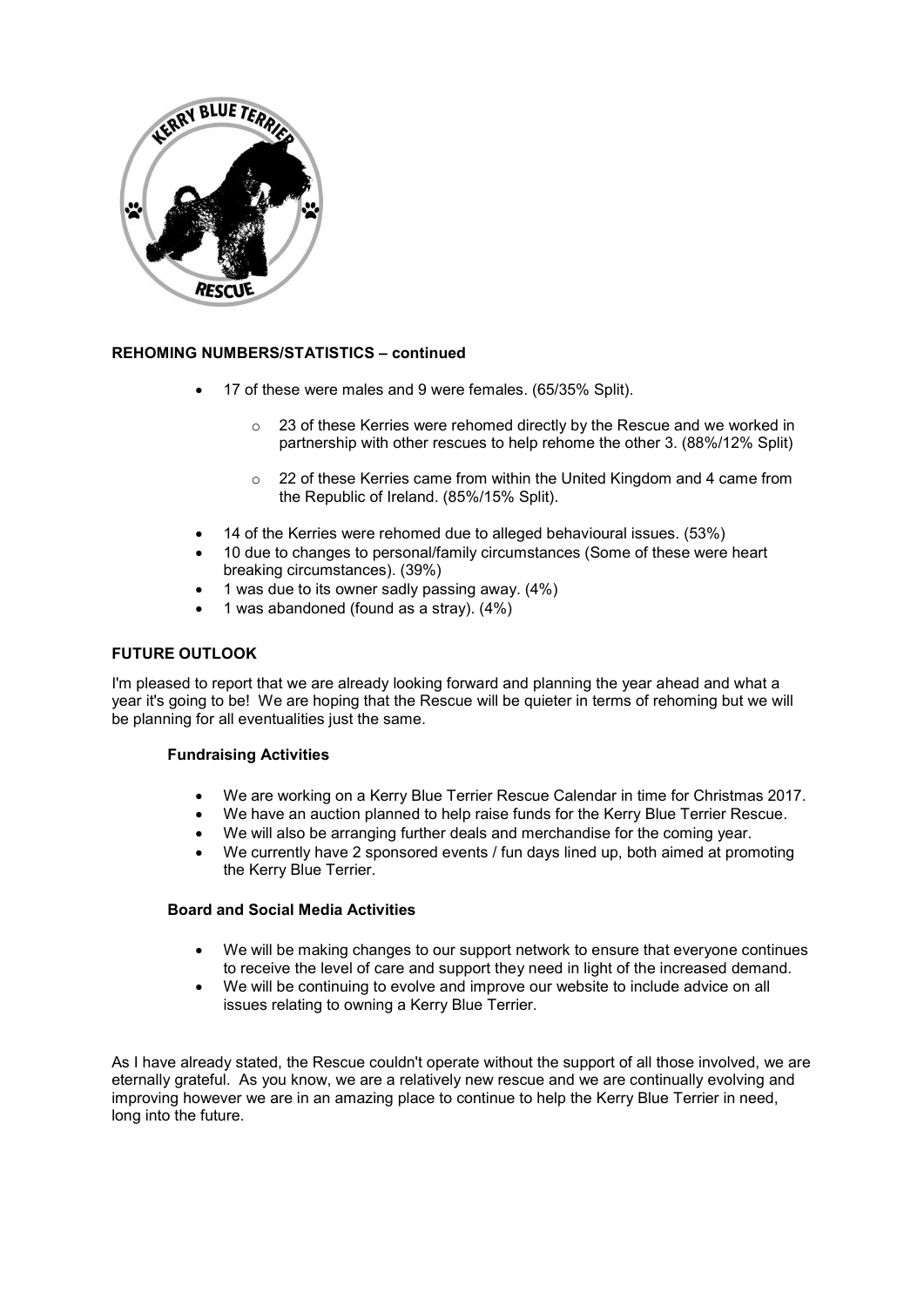

# **REHOMING NUMBERS/STATISTICS – continued**

- 17 of these were males and 9 were females. (65/35% Split).
	- o 23 of these Kerries were rehomed directly by the Rescue and we worked in partnership with other rescues to help rehome the other 3. (88%/12% Split)
	- o 22 of these Kerries came from within the United Kingdom and 4 came from the Republic of Ireland. (85%/15% Split).
- 14 of the Kerries were rehomed due to alleged behavioural issues. (53%)
- 10 due to changes to personal/family circumstances (Some of these were heart breaking circumstances). (39%)
- 1 was due to its owner sadly passing away.  $(4\%)$
- 1 was abandoned (found as a stray).  $(4\%)$

#### **FUTURE OUTLOOK**

I'm pleased to report that we are already looking forward and planning the year ahead and what a year it's going to be! We are hoping that the Rescue will be quieter in terms of rehoming but we will be planning for all eventualities just the same.

#### **Fundraising Activities**

- x We are working on a Kerry Blue Terrier Rescue Calendar in time for Christmas 2017.
- We have an auction planned to help raise funds for the Kerry Blue Terrier Rescue.
- We will also be arranging further deals and merchandise for the coming year.
- We currently have 2 sponsored events / fun days lined up, both aimed at promoting the Kerry Blue Terrier.

#### **Board and Social Media Activities**

- We will be making changes to our support network to ensure that everyone continues to receive the level of care and support they need in light of the increased demand.
- We will be continuing to evolve and improve our website to include advice on all issues relating to owning a Kerry Blue Terrier.

As I have already stated, the Rescue couldn't operate without the support of all those involved, we are eternally grateful. As you know, we are a relatively new rescue and we are continually evolving and improving however we are in an amazing place to continue to help the Kerry Blue Terrier in need, long into the future.